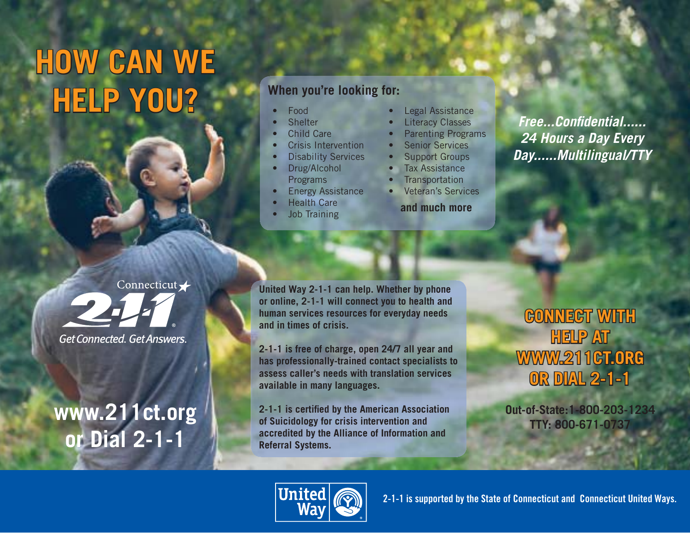# **HOW CAN WE HELP YOU? E** Food

**When you're looking for:**

- 
- **Shelter**
- Child Care
- Crisis Intervention
- **Disability Services**
- Drug/Alcohol **Programs**
- **Energy Assistance**
- **Health Care**
- **Job Training**
- Legal Assistance
- **Literacy Classes**
- Parenting Programs
- **Senior Services**
- Support Groups
- **Tax Assistance**
- **Transportation**
- Veteran's Services
	- **and much more**

*Free...Confi dential......24 Hours a Day Every Day......Multilingual/TTY*

Connecticut / **Get Connected, Get Answers.** 

## **www.211ct.org or Dial 2-1-1**

**United Way 2-1-1 can help. Whether by phone or online, 2-1-1 will connect you to health and human services resources for everyday needs and in times of crisis.** 

**2-1-1 is free of charge, open 24/7 all year and has professionally-trained contact specialists to assess caller's needs with translation services available in many languages.**

**2-1-1 is certified by the American Association of Suicidology for crisis intervention and accredited by the Alliance of Information and Referral Systems.**

### **CONNECT WITH HELP AT WWW.211CT.ORG WW. 2 1 1 CT. O RG OR DIAL 2-1-1 R D IAL 2- 1 - 1**

**Out-of-State:1-800-203-1234TTY: 800-671-0737**